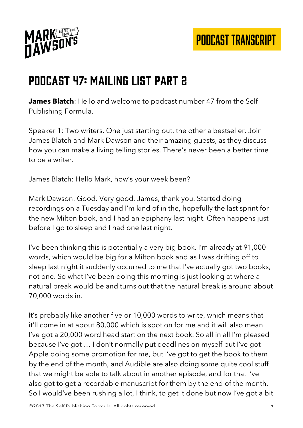

#### Podcast 47: Mailing List Part 2

**James Blatch**: Hello and welcome to podcast number 47 from the Self Publishing Formula.

Speaker 1: Two writers. One just starting out, the other a bestseller. Join James Blatch and Mark Dawson and their amazing guests, as they discuss how you can make a living telling stories. There's never been a better time to be a writer.

James Blatch: Hello Mark, how's your week been?

Mark Dawson: Good. Very good, James, thank you. Started doing recordings on a Tuesday and I'm kind of in the, hopefully the last sprint for the new Milton book, and I had an epiphany last night. Often happens just before I go to sleep and I had one last night.

I've been thinking this is potentially a very big book. I'm already at 91,000 words, which would be big for a Milton book and as I was drifting off to sleep last night it suddenly occurred to me that I've actually got two books, not one. So what I've been doing this morning is just looking at where a natural break would be and turns out that the natural break is around about 70,000 words in.

It's probably like another five or 10,000 words to write, which means that it'll come in at about 80,000 which is spot on for me and it will also mean I've got a 20,000 word head start on the next book. So all in all I'm pleased because I've got … I don't normally put deadlines on myself but I've got Apple doing some promotion for me, but I've got to get the book to them by the end of the month, and Audible are also doing some quite cool stuff that we might be able to talk about in another episode, and for that I've also got to get a recordable manuscript for them by the end of the month. So I would've been rushing a lot, I think, to get it done but now I've got a bit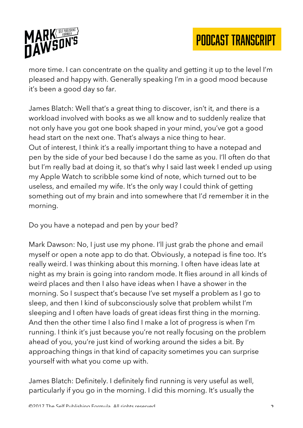

more time. I can concentrate on the quality and getting it up to the level I'm pleased and happy with. Generally speaking I'm in a good mood because it's been a good day so far.

James Blatch: Well that's a great thing to discover, isn't it, and there is a workload involved with books as we all know and to suddenly realize that not only have you got one book shaped in your mind, you've got a good head start on the next one. That's always a nice thing to hear. Out of interest, I think it's a really important thing to have a notepad and pen by the side of your bed because I do the same as you. I'll often do that but I'm really bad at doing it, so that's why I said last week I ended up using my Apple Watch to scribble some kind of note, which turned out to be useless, and emailed my wife. It's the only way I could think of getting something out of my brain and into somewhere that I'd remember it in the morning.

Do you have a notepad and pen by your bed?

Mark Dawson: No, I just use my phone. I'll just grab the phone and email myself or open a note app to do that. Obviously, a notepad is fine too. It's really weird. I was thinking about this morning. I often have ideas late at night as my brain is going into random mode. It flies around in all kinds of weird places and then I also have ideas when I have a shower in the morning. So I suspect that's because I've set myself a problem as I go to sleep, and then I kind of subconsciously solve that problem whilst I'm sleeping and I often have loads of great ideas first thing in the morning. And then the other time I also find I make a lot of progress is when I'm running. I think it's just because you're not really focusing on the problem ahead of you, you're just kind of working around the sides a bit. By approaching things in that kind of capacity sometimes you can surprise yourself with what you come up with.

James Blatch: Definitely. I definitely find running is very useful as well, particularly if you go in the morning. I did this morning. It's usually the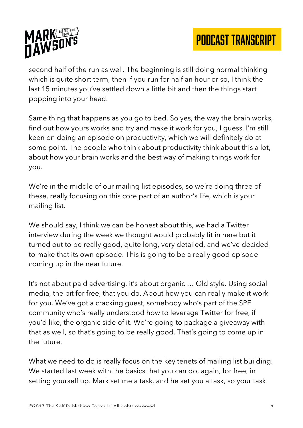

second half of the run as well. The beginning is still doing normal thinking which is quite short term, then if you run for half an hour or so, I think the last 15 minutes you've settled down a little bit and then the things start popping into your head.

Same thing that happens as you go to bed. So yes, the way the brain works, find out how yours works and try and make it work for you, I guess. I'm still keen on doing an episode on productivity, which we will definitely do at some point. The people who think about productivity think about this a lot, about how your brain works and the best way of making things work for you.

We're in the middle of our mailing list episodes, so we're doing three of these, really focusing on this core part of an author's life, which is your mailing list.

We should say, I think we can be honest about this, we had a Twitter interview during the week we thought would probably fit in here but it turned out to be really good, quite long, very detailed, and we've decided to make that its own episode. This is going to be a really good episode coming up in the near future.

It's not about paid advertising, it's about organic … Old style. Using social media, the bit for free, that you do. About how you can really make it work for you. We've got a cracking guest, somebody who's part of the SPF community who's really understood how to leverage Twitter for free, if you'd like, the organic side of it. We're going to package a giveaway with that as well, so that's going to be really good. That's going to come up in the future.

What we need to do is really focus on the key tenets of mailing list building. We started last week with the basics that you can do, again, for free, in setting yourself up. Mark set me a task, and he set you a task, so your task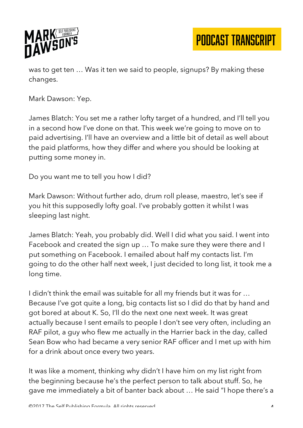

was to get ten … Was it ten we said to people, signups? By making these changes.

Mark Dawson: Yep.

James Blatch: You set me a rather lofty target of a hundred, and I'll tell you in a second how I've done on that. This week we're going to move on to paid advertising. I'll have an overview and a little bit of detail as well about the paid platforms, how they differ and where you should be looking at putting some money in.

Do you want me to tell you how I did?

Mark Dawson: Without further ado, drum roll please, maestro, let's see if you hit this supposedly lofty goal. I've probably gotten it whilst I was sleeping last night.

James Blatch: Yeah, you probably did. Well I did what you said. I went into Facebook and created the sign up … To make sure they were there and I put something on Facebook. I emailed about half my contacts list. I'm going to do the other half next week, I just decided to long list, it took me a long time.

I didn't think the email was suitable for all my friends but it was for … Because I've got quite a long, big contacts list so I did do that by hand and got bored at about K. So, I'll do the next one next week. It was great actually because I sent emails to people I don't see very often, including an RAF pilot, a guy who flew me actually in the Harrier back in the day, called Sean Bow who had became a very senior RAF officer and I met up with him for a drink about once every two years.

It was like a moment, thinking why didn't I have him on my list right from the beginning because he's the perfect person to talk about stuff. So, he gave me immediately a bit of banter back about … He said "I hope there's a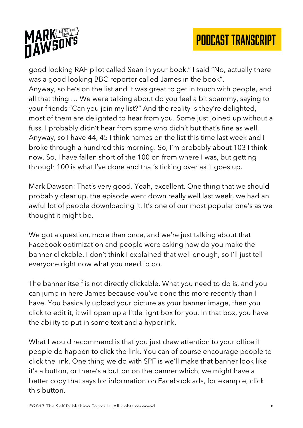

good looking RAF pilot called Sean in your book." I said "No, actually there was a good looking BBC reporter called James in the book". Anyway, so he's on the list and it was great to get in touch with people, and all that thing … We were talking about do you feel a bit spammy, saying to your friends "Can you join my list?" And the reality is they're delighted, most of them are delighted to hear from you. Some just joined up without a fuss, I probably didn't hear from some who didn't but that's fine as well. Anyway, so I have 44, 45 I think names on the list this time last week and I broke through a hundred this morning. So, I'm probably about 103 I think now. So, I have fallen short of the 100 on from where I was, but getting through 100 is what I've done and that's ticking over as it goes up.

Mark Dawson: That's very good. Yeah, excellent. One thing that we should probably clear up, the episode went down really well last week, we had an awful lot of people downloading it. It's one of our most popular one's as we thought it might be.

We got a question, more than once, and we're just talking about that Facebook optimization and people were asking how do you make the banner clickable. I don't think I explained that well enough, so I'll just tell everyone right now what you need to do.

The banner itself is not directly clickable. What you need to do is, and you can jump in here James because you've done this more recently than I have. You basically upload your picture as your banner image, then you click to edit it, it will open up a little light box for you. In that box, you have the ability to put in some text and a hyperlink.

What I would recommend is that you just draw attention to your office if people do happen to click the link. You can of course encourage people to click the link. One thing we do with SPF is we'll make that banner look like it's a button, or there's a button on the banner which, we might have a better copy that says for information on Facebook ads, for example, click this button.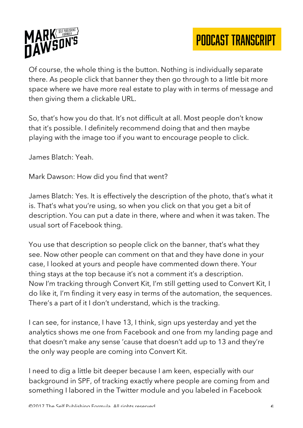

Of course, the whole thing is the button. Nothing is individually separate there. As people click that banner they then go through to a little bit more space where we have more real estate to play with in terms of message and then giving them a clickable URL.

So, that's how you do that. It's not difficult at all. Most people don't know that it's possible. I definitely recommend doing that and then maybe playing with the image too if you want to encourage people to click.

James Blatch: Yeah.

Mark Dawson: How did you find that went?

James Blatch: Yes. It is effectively the description of the photo, that's what it is. That's what you're using, so when you click on that you get a bit of description. You can put a date in there, where and when it was taken. The usual sort of Facebook thing.

You use that description so people click on the banner, that's what they see. Now other people can comment on that and they have done in your case, I looked at yours and people have commented down there. Your thing stays at the top because it's not a comment it's a description. Now I'm tracking through Convert Kit, I'm still getting used to Convert Kit, I do like it, I'm finding it very easy in terms of the automation, the sequences. There's a part of it I don't understand, which is the tracking.

I can see, for instance, I have 13, I think, sign ups yesterday and yet the analytics shows me one from Facebook and one from my landing page and that doesn't make any sense 'cause that doesn't add up to 13 and they're the only way people are coming into Convert Kit.

I need to dig a little bit deeper because I am keen, especially with our background in SPF, of tracking exactly where people are coming from and something I labored in the Twitter module and you labeled in Facebook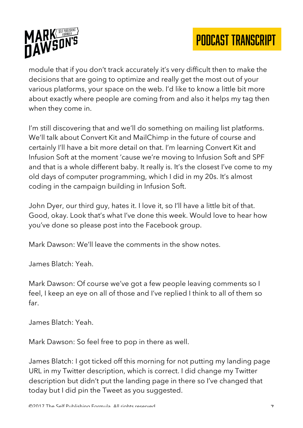

module that if you don't track accurately it's very difficult then to make the decisions that are going to optimize and really get the most out of your various platforms, your space on the web. I'd like to know a little bit more about exactly where people are coming from and also it helps my tag then when they come in.

I'm still discovering that and we'll do something on mailing list platforms. We'll talk about Convert Kit and MailChimp in the future of course and certainly I'll have a bit more detail on that. I'm learning Convert Kit and Infusion Soft at the moment 'cause we're moving to Infusion Soft and SPF and that is a whole different baby. It really is. It's the closest I've come to my old days of computer programming, which I did in my 20s. It's almost coding in the campaign building in Infusion Soft.

John Dyer, our third guy, hates it. I love it, so I'll have a little bit of that. Good, okay. Look that's what I've done this week. Would love to hear how you've done so please post into the Facebook group.

Mark Dawson: We'll leave the comments in the show notes.

James Blatch: Yeah.

Mark Dawson: Of course we've got a few people leaving comments so I feel, I keep an eye on all of those and I've replied I think to all of them so far.

James Blatch: Yeah.

Mark Dawson: So feel free to pop in there as well.

James Blatch: I got ticked off this morning for not putting my landing page URL in my Twitter description, which is correct. I did change my Twitter description but didn't put the landing page in there so I've changed that today but I did pin the Tweet as you suggested.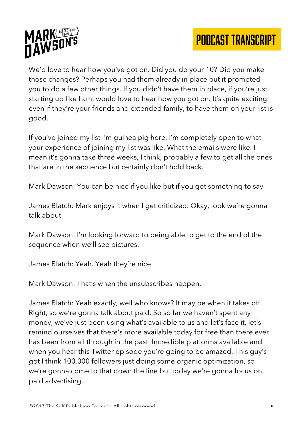

We'd love to hear how you've got on. Did you do your 10? Did you make those changes? Perhaps you had them already in place but it prompted you to do a few other things. If you didn't have them in place, if you're just starting up like I am, would love to hear how you got on. It's quite exciting even if they're your friends and extended family, to have them on your list is good.

If you've joined my list I'm guinea pig here. I'm completely open to what your experience of joining my list was like. What the emails were like. I mean it's gonna take three weeks, I think, probably a few to get all the ones that are in the sequence but certainly don't hold back.

Mark Dawson: You can be nice if you like but if you got something to say-

James Blatch: Mark enjoys it when I get criticized. Okay, look we're gonna talk about-

Mark Dawson: I'm looking forward to being able to get to the end of the sequence when we'll see pictures.

James Blatch: Yeah. Yeah they're nice.

Mark Dawson: That's when the unsubscribes happen.

James Blatch: Yeah exactly, well who knows? It may be when it takes off. Right, so we're gonna talk about paid. So so far we haven't spent any money, we've just been using what's available to us and let's face it, let's remind ourselves that there's more available today for free than there ever has been from all through in the past. Incredible platforms available and when you hear this Twitter episode you're going to be amazed. This guy's got I think 100,000 followers just doing some organic optimization, so we're gonna come to that down the line but today we're gonna focus on paid advertising.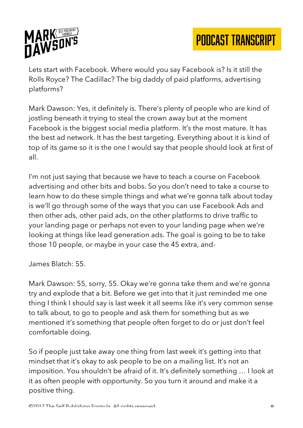

Lets start with Facebook. Where would you say Facebook is? Is it still the Rolls Royce? The Cadillac? The big daddy of paid platforms, advertising platforms?

Mark Dawson: Yes, it definitely is. There's plenty of people who are kind of jostling beneath it trying to steal the crown away but at the moment Facebook is the biggest social media platform. It's the most mature. It has the best ad network. It has the best targeting. Everything about it is kind of top of its game so it is the one I would say that people should look at first of all.

I'm not just saying that because we have to teach a course on Facebook advertising and other bits and bobs. So you don't need to take a course to learn how to do these simple things and what we're gonna talk about today is we'll go through some of the ways that you can use Facebook Ads and then other ads, other paid ads, on the other platforms to drive traffic to your landing page or perhaps not even to your landing page when we're looking at things like lead generation ads. The goal is going to be to take those 10 people, or maybe in your case the 45 extra, and-

James Blatch: 55.

Mark Dawson: 55, sorry, 55. Okay we're gonna take them and we're gonna try and explode that a bit. Before we get into that it just reminded me one thing I think I should say is last week it all seems like it's very common sense to talk about, to go to people and ask them for something but as we mentioned it's something that people often forget to do or just don't feel comfortable doing.

So if people just take away one thing from last week it's getting into that mindset that it's okay to ask people to be on a mailing list. It's not an imposition. You shouldn't be afraid of it. It's definitely something … I look at it as often people with opportunity. So you turn it around and make it a positive thing.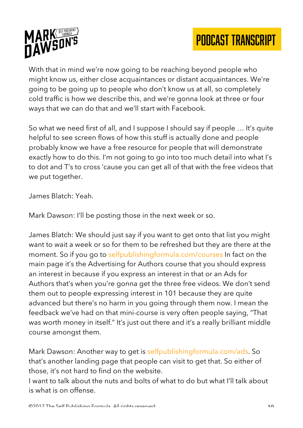



With that in mind we're now going to be reaching beyond people who might know us, either close acquaintances or distant acquaintances. We're going to be going up to people who don't know us at all, so completely cold traffic is how we describe this, and we're gonna look at three or four ways that we can do that and we'll start with Facebook.

So what we need first of all, and I suppose I should say if people … It's quite helpful to see screen flows of how this stuff is actually done and people probably know we have a free resource for people that will demonstrate exactly how to do this. I'm not going to go into too much detail into what I's to dot and T's to cross 'cause you can get all of that with the free videos that we put together.

James Blatch: Yeah.

Mark Dawson: I'll be posting those in the next week or so.

James Blatch: We should just say if you want to get onto that list you might want to wait a week or so for them to be refreshed but they are there at the moment. So if you go to selfpublishingformula.com/courses In fact on the main page it's the Advertising for Authors course that you should express an interest in because if you express an interest in that or an Ads for Authors that's when you're gonna get the three free videos. We don't send them out to people expressing interest in 101 because they are quite advanced but there's no harm in you going through them now. I mean the feedback we've had on that mini-course is very often people saying, "That was worth money in itself." It's just out there and it's a really brilliant middle course amongst them.

Mark Dawson: Another way to get is selfpublishingformula.com/ads. So that's another landing page that people can visit to get that. So either of those, it's not hard to find on the website.

I want to talk about the nuts and bolts of what to do but what I'll talk about is what is on offense.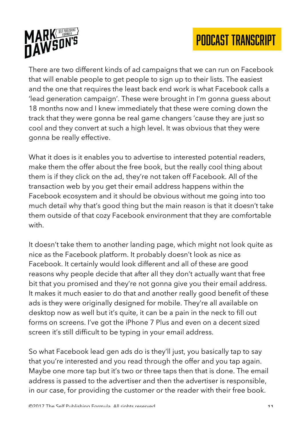

There are two different kinds of ad campaigns that we can run on Facebook that will enable people to get people to sign up to their lists. The easiest and the one that requires the least back end work is what Facebook calls a 'lead generation campaign'. These were brought in I'm gonna guess about 18 months now and I knew immediately that these were coming down the track that they were gonna be real game changers 'cause they are just so cool and they convert at such a high level. It was obvious that they were gonna be really effective.

What it does is it enables you to advertise to interested potential readers, make them the offer about the free book, but the really cool thing about them is if they click on the ad, they're not taken off Facebook. All of the transaction web by you get their email address happens within the Facebook ecosystem and it should be obvious without me going into too much detail why that's good thing but the main reason is that it doesn't take them outside of that cozy Facebook environment that they are comfortable with.

It doesn't take them to another landing page, which might not look quite as nice as the Facebook platform. It probably doesn't look as nice as Facebook. It certainly would look different and all of these are good reasons why people decide that after all they don't actually want that free bit that you promised and they're not gonna give you their email address. It makes it much easier to do that and another really good benefit of these ads is they were originally designed for mobile. They're all available on desktop now as well but it's quite, it can be a pain in the neck to fill out forms on screens. I've got the iPhone 7 Plus and even on a decent sized screen it's still difficult to be typing in your email address.

So what Facebook lead gen ads do is they'll just, you basically tap to say that you're interested and you read through the offer and you tap again. Maybe one more tap but it's two or three taps then that is done. The email address is passed to the advertiser and then the advertiser is responsible, in our case, for providing the customer or the reader with their free book.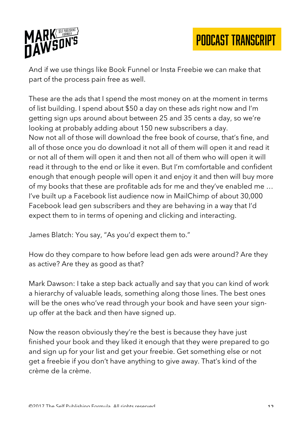

And if we use things like Book Funnel or Insta Freebie we can make that part of the process pain free as well.

These are the ads that I spend the most money on at the moment in terms of list building. I spend about \$50 a day on these ads right now and I'm getting sign ups around about between 25 and 35 cents a day, so we're looking at probably adding about 150 new subscribers a day. Now not all of those will download the free book of course, that's fine, and all of those once you do download it not all of them will open it and read it or not all of them will open it and then not all of them who will open it will read it through to the end or like it even. But I'm comfortable and confident enough that enough people will open it and enjoy it and then will buy more of my books that these are profitable ads for me and they've enabled me … I've built up a Facebook list audience now in MailChimp of about 30,000 Facebook lead gen subscribers and they are behaving in a way that I'd expect them to in terms of opening and clicking and interacting.

James Blatch: You say, "As you'd expect them to."

How do they compare to how before lead gen ads were around? Are they as active? Are they as good as that?

Mark Dawson: I take a step back actually and say that you can kind of work a hierarchy of valuable leads, something along those lines. The best ones will be the ones who've read through your book and have seen your signup offer at the back and then have signed up.

Now the reason obviously they're the best is because they have just finished your book and they liked it enough that they were prepared to go and sign up for your list and get your freebie. Get something else or not get a freebie if you don't have anything to give away. That's kind of the crème de la crème.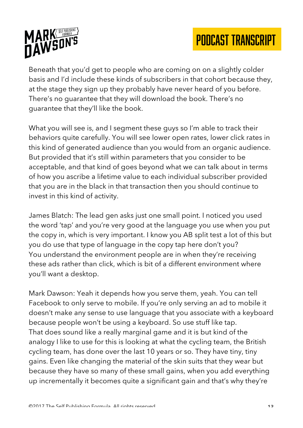



Beneath that you'd get to people who are coming on on a slightly colder basis and I'd include these kinds of subscribers in that cohort because they, at the stage they sign up they probably have never heard of you before. There's no guarantee that they will download the book. There's no guarantee that they'll like the book.

What you will see is, and I segment these guys so I'm able to track their behaviors quite carefully. You will see lower open rates, lower click rates in this kind of generated audience than you would from an organic audience. But provided that it's still within parameters that you consider to be acceptable, and that kind of goes beyond what we can talk about in terms of how you ascribe a lifetime value to each individual subscriber provided that you are in the black in that transaction then you should continue to invest in this kind of activity.

James Blatch: The lead gen asks just one small point. I noticed you used the word 'tap' and you're very good at the language you use when you put the copy in, which is very important. I know you AB split test a lot of this but you do use that type of language in the copy tap here don't you? You understand the environment people are in when they're receiving these ads rather than click, which is bit of a different environment where you'll want a desktop.

Mark Dawson: Yeah it depends how you serve them, yeah. You can tell Facebook to only serve to mobile. If you're only serving an ad to mobile it doesn't make any sense to use language that you associate with a keyboard because people won't be using a keyboard. So use stuff like tap. That does sound like a really marginal game and it is but kind of the analogy I like to use for this is looking at what the cycling team, the British cycling team, has done over the last 10 years or so. They have tiny, tiny gains. Even like changing the material of the skin suits that they wear but because they have so many of these small gains, when you add everything up incrementally it becomes quite a significant gain and that's why they're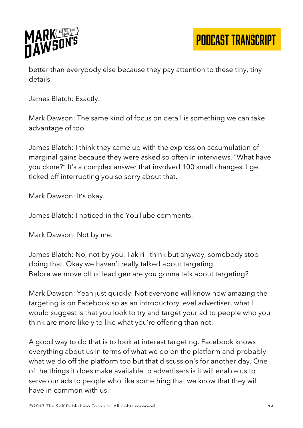

better than everybody else because they pay attention to these tiny, tiny details.

James Blatch: Exactly.

Mark Dawson: The same kind of focus on detail is something we can take advantage of too.

James Blatch: I think they came up with the expression accumulation of marginal gains because they were asked so often in interviews, "What have you done?" It's a complex answer that involved 100 small changes. I get ticked off interrupting you so sorry about that.

Mark Dawson: It's okay.

James Blatch: I noticed in the YouTube comments.

Mark Dawson: Not by me.

James Blatch: No, not by you. Takiri I think but anyway, somebody stop doing that. Okay we haven't really talked about targeting. Before we move off of lead gen are you gonna talk about targeting?

Mark Dawson: Yeah just quickly. Not everyone will know how amazing the targeting is on Facebook so as an introductory level advertiser, what I would suggest is that you look to try and target your ad to people who you think are more likely to like what you're offering than not.

A good way to do that is to look at interest targeting. Facebook knows everything about us in terms of what we do on the platform and probably what we do off the platform too but that discussion's for another day. One of the things it does make available to advertisers is it will enable us to serve our ads to people who like something that we know that they will have in common with us.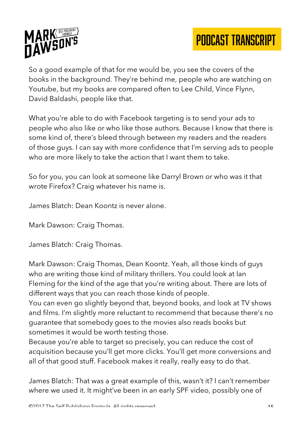

So a good example of that for me would be, you see the covers of the books in the background. They're behind me, people who are watching on Youtube, but my books are compared often to Lee Child, Vince Flynn, David Baldashi, people like that.

What you're able to do with Facebook targeting is to send your ads to people who also like or who like those authors. Because I know that there is some kind of, there's bleed through between my readers and the readers of those guys. I can say with more confidence that I'm serving ads to people who are more likely to take the action that I want them to take.

So for you, you can look at someone like Darryl Brown or who was it that wrote Firefox? Craig whatever his name is.

James Blatch: Dean Koontz is never alone.

Mark Dawson: Craig Thomas.

James Blatch: Craig Thomas.

Mark Dawson: Craig Thomas, Dean Koontz. Yeah, all those kinds of guys who are writing those kind of military thrillers. You could look at Ian Fleming for the kind of the age that you're writing about. There are lots of different ways that you can reach those kinds of people.

You can even go slightly beyond that, beyond books, and look at TV shows and films. I'm slightly more reluctant to recommend that because there's no guarantee that somebody goes to the movies also reads books but sometimes it would be worth testing those.

Because you're able to target so precisely, you can reduce the cost of acquisition because you'll get more clicks. You'll get more conversions and all of that good stuff. Facebook makes it really, really easy to do that.

James Blatch: That was a great example of this, wasn't it? I can't remember where we used it. It might've been in an early SPF video, possibly one of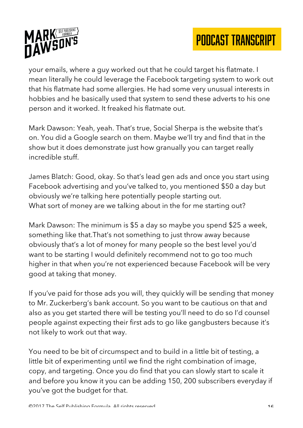



your emails, where a guy worked out that he could target his flatmate. I mean literally he could leverage the Facebook targeting system to work out that his flatmate had some allergies. He had some very unusual interests in hobbies and he basically used that system to send these adverts to his one person and it worked. It freaked his flatmate out.

Mark Dawson: Yeah, yeah. That's true, Social Sherpa is the website that's on. You did a Google search on them. Maybe we'll try and find that in the show but it does demonstrate just how granually you can target really incredible stuff.

James Blatch: Good, okay. So that's lead gen ads and once you start using Facebook advertising and you've talked to, you mentioned \$50 a day but obviously we're talking here potentially people starting out. What sort of money are we talking about in the for me starting out?

Mark Dawson: The minimum is \$5 a day so maybe you spend \$25 a week, something like that.That's not something to just throw away because obviously that's a lot of money for many people so the best level you'd want to be starting I would definitely recommend not to go too much higher in that when you're not experienced because Facebook will be very good at taking that money.

If you've paid for those ads you will, they quickly will be sending that money to Mr. Zuckerberg's bank account. So you want to be cautious on that and also as you get started there will be testing you'll need to do so I'd counsel people against expecting their first ads to go like gangbusters because it's not likely to work out that way.

You need to be bit of circumspect and to build in a little bit of testing, a little bit of experimenting until we find the right combination of image, copy, and targeting. Once you do find that you can slowly start to scale it and before you know it you can be adding 150, 200 subscribers everyday if you've got the budget for that.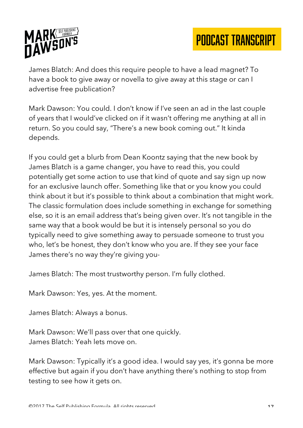

James Blatch: And does this require people to have a lead magnet? To have a book to give away or novella to give away at this stage or can I advertise free publication?

Mark Dawson: You could. I don't know if I've seen an ad in the last couple of years that I would've clicked on if it wasn't offering me anything at all in return. So you could say, "There's a new book coming out." It kinda depends.

If you could get a blurb from Dean Koontz saying that the new book by James Blatch is a game changer, you have to read this, you could potentially get some action to use that kind of quote and say sign up now for an exclusive launch offer. Something like that or you know you could think about it but it's possible to think about a combination that might work. The classic formulation does include something in exchange for something else, so it is an email address that's being given over. It's not tangible in the same way that a book would be but it is intensely personal so you do typically need to give something away to persuade someone to trust you who, let's be honest, they don't know who you are. If they see your face James there's no way they're giving you-

James Blatch: The most trustworthy person. I'm fully clothed.

Mark Dawson: Yes, yes. At the moment.

James Blatch: Always a bonus.

Mark Dawson: We'll pass over that one quickly. James Blatch: Yeah lets move on.

Mark Dawson: Typically it's a good idea. I would say yes, it's gonna be more effective but again if you don't have anything there's nothing to stop from testing to see how it gets on.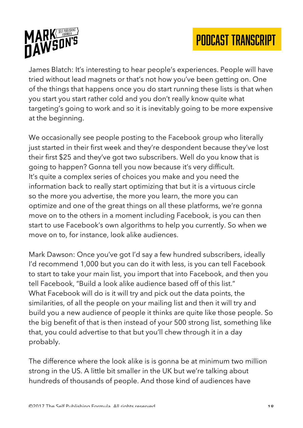

James Blatch: It's interesting to hear people's experiences. People will have tried without lead magnets or that's not how you've been getting on. One of the things that happens once you do start running these lists is that when you start you start rather cold and you don't really know quite what targeting's going to work and so it is inevitably going to be more expensive at the beginning.

We occasionally see people posting to the Facebook group who literally just started in their first week and they're despondent because they've lost their first \$25 and they've got two subscribers. Well do you know that is going to happen? Gonna tell you now because it's very difficult. It's quite a complex series of choices you make and you need the information back to really start optimizing that but it is a virtuous circle so the more you advertise, the more you learn, the more you can optimize and one of the great things on all these platforms, we're gonna move on to the others in a moment including Facebook, is you can then start to use Facebook's own algorithms to help you currently. So when we move on to, for instance, look alike audiences.

Mark Dawson: Once you've got I'd say a few hundred subscribers, ideally I'd recommend 1,000 but you can do it with less, is you can tell Facebook to start to take your main list, you import that into Facebook, and then you tell Facebook, "Build a look alike audience based off of this list." What Facebook will do is it will try and pick out the data points, the similarities, of all the people on your mailing list and then it will try and build you a new audience of people it thinks are quite like those people. So the big benefit of that is then instead of your 500 strong list, something like that, you could advertise to that but you'll chew through it in a day probably.

The difference where the look alike is is gonna be at minimum two million strong in the US. A little bit smaller in the UK but we're talking about hundreds of thousands of people. And those kind of audiences have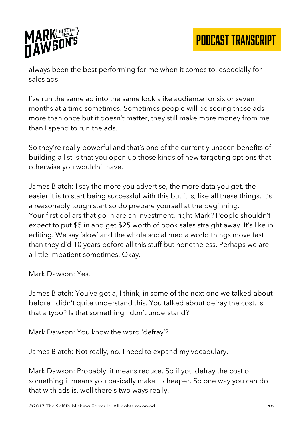

always been the best performing for me when it comes to, especially for sales ads.

I've run the same ad into the same look alike audience for six or seven months at a time sometimes. Sometimes people will be seeing those ads more than once but it doesn't matter, they still make more money from me than I spend to run the ads.

So they're really powerful and that's one of the currently unseen benefits of building a list is that you open up those kinds of new targeting options that otherwise you wouldn't have.

James Blatch: I say the more you advertise, the more data you get, the easier it is to start being successful with this but it is, like all these things, it's a reasonably tough start so do prepare yourself at the beginning. Your first dollars that go in are an investment, right Mark? People shouldn't expect to put \$5 in and get \$25 worth of book sales straight away. It's like in editing. We say 'slow' and the whole social media world things move fast than they did 10 years before all this stuff but nonetheless. Perhaps we are a little impatient sometimes. Okay.

Mark Dawson: Yes.

James Blatch: You've got a, I think, in some of the next one we talked about before I didn't quite understand this. You talked about defray the cost. Is that a typo? Is that something I don't understand?

Mark Dawson: You know the word 'defray'?

James Blatch: Not really, no. I need to expand my vocabulary.

Mark Dawson: Probably, it means reduce. So if you defray the cost of something it means you basically make it cheaper. So one way you can do that with ads is, well there's two ways really.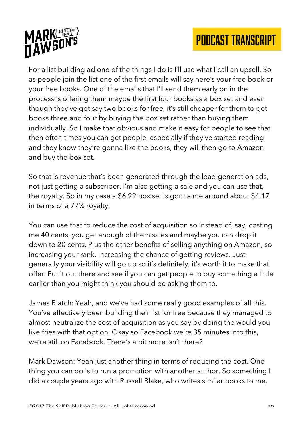

For a list building ad one of the things I do is I'll use what I call an upsell. So as people join the list one of the first emails will say here's your free book or your free books. One of the emails that I'll send them early on in the process is offering them maybe the first four books as a box set and even though they've got say two books for free, it's still cheaper for them to get books three and four by buying the box set rather than buying them individually. So I make that obvious and make it easy for people to see that then often times you can get people, especially if they've started reading and they know they're gonna like the books, they will then go to Amazon and buy the box set.

So that is revenue that's been generated through the lead generation ads, not just getting a subscriber. I'm also getting a sale and you can use that, the royalty. So in my case a \$6.99 box set is gonna me around about \$4.17 in terms of a 77% royalty.

You can use that to reduce the cost of acquisition so instead of, say, costing me 40 cents, you get enough of them sales and maybe you can drop it down to 20 cents. Plus the other benefits of selling anything on Amazon, so increasing your rank. Increasing the chance of getting reviews. Just generally your visibility will go up so it's definitely, it's worth it to make that offer. Put it out there and see if you can get people to buy something a little earlier than you might think you should be asking them to.

James Blatch: Yeah, and we've had some really good examples of all this. You've effectively been building their list for free because they managed to almost neutralize the cost of acquisition as you say by doing the would you like fries with that option. Okay so Facebook we're 35 minutes into this, we're still on Facebook. There's a bit more isn't there?

Mark Dawson: Yeah just another thing in terms of reducing the cost. One thing you can do is to run a promotion with another author. So something I did a couple years ago with Russell Blake, who writes similar books to me,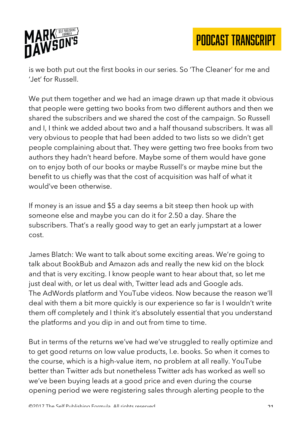

is we both put out the first books in our series. So 'The Cleaner' for me and 'Jet' for Russell.

We put them together and we had an image drawn up that made it obvious that people were getting two books from two different authors and then we shared the subscribers and we shared the cost of the campaign. So Russell and I, I think we added about two and a half thousand subscribers. It was all very obvious to people that had been added to two lists so we didn't get people complaining about that. They were getting two free books from two authors they hadn't heard before. Maybe some of them would have gone on to enjoy both of our books or maybe Russell's or maybe mine but the benefit to us chiefly was that the cost of acquisition was half of what it would've been otherwise.

If money is an issue and \$5 a day seems a bit steep then hook up with someone else and maybe you can do it for 2.50 a day. Share the subscribers. That's a really good way to get an early jumpstart at a lower cost.

James Blatch: We want to talk about some exciting areas. We're going to talk about BookBub and Amazon ads and really the new kid on the block and that is very exciting. I know people want to hear about that, so let me just deal with, or let us deal with, Twitter lead ads and Google ads. The AdWords platform and YouTube videos. Now because the reason we'll deal with them a bit more quickly is our experience so far is I wouldn't write them off completely and I think it's absolutely essential that you understand the platforms and you dip in and out from time to time.

But in terms of the returns we've had we've struggled to really optimize and to get good returns on low value products, I.e. books. So when it comes to the course, which is a high-value item, no problem at all really. YouTube better than Twitter ads but nonetheless Twitter ads has worked as well so we've been buying leads at a good price and even during the course opening period we were registering sales through alerting people to the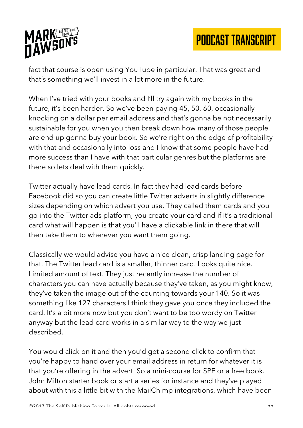

fact that course is open using YouTube in particular. That was great and that's something we'll invest in a lot more in the future.

When I've tried with your books and I'll try again with my books in the future, it's been harder. So we've been paying 45, 50, 60, occasionally knocking on a dollar per email address and that's gonna be not necessarily sustainable for you when you then break down how many of those people are end up gonna buy your book. So we're right on the edge of profitability with that and occasionally into loss and I know that some people have had more success than I have with that particular genres but the platforms are there so lets deal with them quickly.

Twitter actually have lead cards. In fact they had lead cards before Facebook did so you can create little Twitter adverts in slightly difference sizes depending on which advert you use. They called them cards and you go into the Twitter ads platform, you create your card and if it's a traditional card what will happen is that you'll have a clickable link in there that will then take them to wherever you want them going.

Classically we would advise you have a nice clean, crisp landing page for that. The Twitter lead card is a smaller, thinner card. Looks quite nice. Limited amount of text. They just recently increase the number of characters you can have actually because they've taken, as you might know, they've taken the image out of the counting towards your 140. So it was something like 127 characters I think they gave you once they included the card. It's a bit more now but you don't want to be too wordy on Twitter anyway but the lead card works in a similar way to the way we just described.

You would click on it and then you'd get a second click to confirm that you're happy to hand over your email address in return for whatever it is that you're offering in the advert. So a mini-course for SPF or a free book. John Milton starter book or start a series for instance and they've played about with this a little bit with the MailChimp integrations, which have been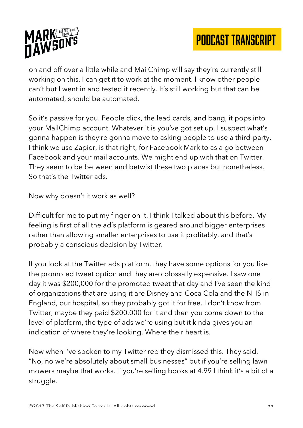

on and off over a little while and MailChimp will say they're currently still working on this. I can get it to work at the moment. I know other people can't but I went in and tested it recently. It's still working but that can be automated, should be automated.

So it's passive for you. People click, the lead cards, and bang, it pops into your MailChimp account. Whatever it is you've got set up. I suspect what's gonna happen is they're gonna move to asking people to use a third-party. I think we use Zapier, is that right, for Facebook Mark to as a go between Facebook and your mail accounts. We might end up with that on Twitter. They seem to be between and betwixt these two places but nonetheless. So that's the Twitter ads.

Now why doesn't it work as well?

Difficult for me to put my finger on it. I think I talked about this before. My feeling is first of all the ad's platform is geared around bigger enterprises rather than allowing smaller enterprises to use it profitably, and that's probably a conscious decision by Twitter.

If you look at the Twitter ads platform, they have some options for you like the promoted tweet option and they are colossally expensive. I saw one day it was \$200,000 for the promoted tweet that day and I've seen the kind of organizations that are using it are Disney and Coca Cola and the NHS in England, our hospital, so they probably got it for free. I don't know from Twitter, maybe they paid \$200,000 for it and then you come down to the level of platform, the type of ads we're using but it kinda gives you an indication of where they're looking. Where their heart is.

Now when I've spoken to my Twitter rep they dismissed this. They said, "No, no we're absolutely about small businesses" but if you're selling lawn mowers maybe that works. If you're selling books at 4.99 I think it's a bit of a struggle.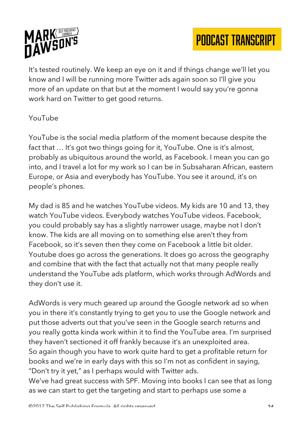

It's tested routinely. We keep an eye on it and if things change we'll let you know and I will be running more Twitter ads again soon so I'll give you more of an update on that but at the moment I would say you're gonna work hard on Twitter to get good returns.

#### YouTube

YouTube is the social media platform of the moment because despite the fact that ... It's got two things going for it, YouTube. One is it's almost, probably as ubiquitous around the world, as Facebook. I mean you can go into, and I travel a lot for my work so I can be in Subsaharan African, eastern Europe, or Asia and everybody has YouTube. You see it around, it's on people's phones.

My dad is 85 and he watches YouTube videos. My kids are 10 and 13, they watch YouTube videos. Everybody watches YouTube videos. Facebook, you could probably say has a slightly narrower usage, maybe not I don't know. The kids are all moving on to something else aren't they from Facebook, so it's seven then they come on Facebook a little bit older. Youtube does go across the generations. It does go across the geography and combine that with the fact that actually not that many people really understand the YouTube ads platform, which works through AdWords and they don't use it.

AdWords is very much geared up around the Google network ad so when you in there it's constantly trying to get you to use the Google network and put those adverts out that you've seen in the Google search returns and you really gotta kinda work within it to find the YouTube area. I'm surprised they haven't sectioned it off frankly because it's an unexploited area. So again though you have to work quite hard to get a profitable return for books and we're in early days with this so I'm not as confident in saying, "Don't try it yet," as I perhaps would with Twitter ads.

We've had great success with SPF. Moving into books I can see that as long as we can start to get the targeting and start to perhaps use some a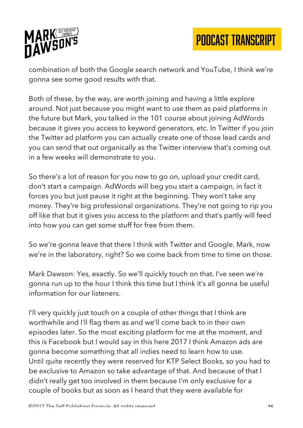

combination of both the Google search network and YouTube, I think we're gonna see some good results with that.

Both of these, by the way, are worth joining and having a little explore around. Not just because you might want to use them as paid platforms in the future but Mark, you talked in the 101 course about joining AdWords because it gives you access to keyword generators, etc. In Twitter if you join the Twitter ad platform you can actually create one of those lead cards and you can send that out organically as the Twitter interview that's coming out in a few weeks will demonstrate to you.

So there's a lot of reason for you now to go on, upload your credit card, don't start a campaign. AdWords will beg you start a campaign, in fact it forces you but just pause it right at the beginning. They won't take any money. They're big professional organizations. They're not going to rip you off like that but it gives you access to the platform and that's partly will feed into how you can get some stuff for free from them.

So we're gonna leave that there I think with Twitter and Google. Mark, now we're in the laboratory, right? So we come back from time to time on those.

Mark Dawson: Yes, exactly. So we'll quickly touch on that. I've seen we're gonna run up to the hour I think this time but I think it's all gonna be useful information for our listeners.

I'll very quickly just touch on a couple of other things that I think are worthwhile and I'll flag them as and we'll come back to in their own episodes later. So the most exciting platform for me at the moment, and this is Facebook but I would say in this here 2017 I think Amazon ads are gonna become something that all indies need to learn how to use. Until quite recently they were reserved for KTP Select Books, so you had to be exclusive to Amazon so take advantage of that. And because of that I didn't really get too involved in them because I'm only exclusive for a couple of books but as soon as I heard that they were available for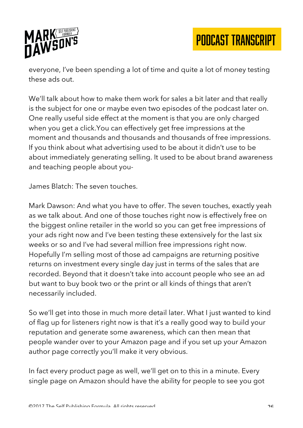

everyone, I've been spending a lot of time and quite a lot of money testing these ads out.

We'll talk about how to make them work for sales a bit later and that really is the subject for one or maybe even two episodes of the podcast later on. One really useful side effect at the moment is that you are only charged when you get a click.You can effectively get free impressions at the moment and thousands and thousands and thousands of free impressions. If you think about what advertising used to be about it didn't use to be about immediately generating selling. It used to be about brand awareness and teaching people about you-

James Blatch: The seven touches.

Mark Dawson: And what you have to offer. The seven touches, exactly yeah as we talk about. And one of those touches right now is effectively free on the biggest online retailer in the world so you can get free impressions of your ads right now and I've been testing these extensively for the last six weeks or so and I've had several million free impressions right now. Hopefully I'm selling most of those ad campaigns are returning positive returns on investment every single day just in terms of the sales that are recorded. Beyond that it doesn't take into account people who see an ad but want to buy book two or the print or all kinds of things that aren't necessarily included.

So we'll get into those in much more detail later. What I just wanted to kind of flag up for listeners right now is that it's a really good way to build your reputation and generate some awareness, which can then mean that people wander over to your Amazon page and if you set up your Amazon author page correctly you'll make it very obvious.

In fact every product page as well, we'll get on to this in a minute. Every single page on Amazon should have the ability for people to see you got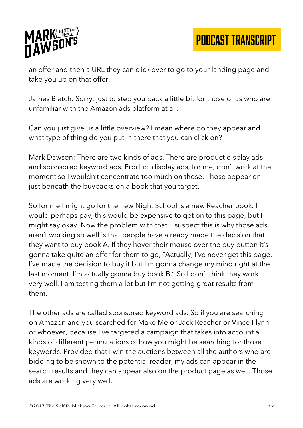

an offer and then a URL they can click over to go to your landing page and take you up on that offer.

James Blatch: Sorry, just to step you back a little bit for those of us who are unfamiliar with the Amazon ads platform at all.

Can you just give us a little overview? I mean where do they appear and what type of thing do you put in there that you can click on?

Mark Dawson: There are two kinds of ads. There are product display ads and sponsored keyword ads. Product display ads, for me, don't work at the moment so I wouldn't concentrate too much on those. Those appear on just beneath the buybacks on a book that you target.

So for me I might go for the new Night School is a new Reacher book. I would perhaps pay, this would be expensive to get on to this page, but I might say okay. Now the problem with that, I suspect this is why those ads aren't working so well is that people have already made the decision that they want to buy book A. If they hover their mouse over the buy button it's gonna take quite an offer for them to go, "Actually, I've never get this page. I've made the decision to buy it but I'm gonna change my mind right at the last moment. I'm actually gonna buy book B." So I don't think they work very well. I am testing them a lot but I'm not getting great results from them.

The other ads are called sponsored keyword ads. So if you are searching on Amazon and you searched for Make Me or Jack Reacher or Vince Flynn or whoever, because I've targeted a campaign that takes into account all kinds of different permutations of how you might be searching for those keywords. Provided that I win the auctions between all the authors who are bidding to be shown to the potential reader, my ads can appear in the search results and they can appear also on the product page as well. Those ads are working very well.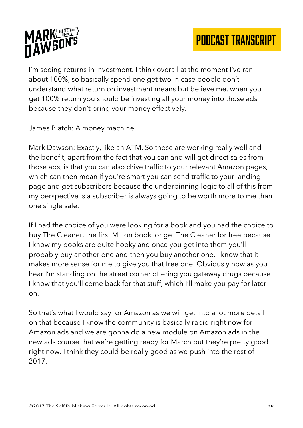

I'm seeing returns in investment. I think overall at the moment I've ran about 100%, so basically spend one get two in case people don't understand what return on investment means but believe me, when you get 100% return you should be investing all your money into those ads because they don't bring your money effectively.

James Blatch: A money machine.

Mark Dawson: Exactly, like an ATM. So those are working really well and the benefit, apart from the fact that you can and will get direct sales from those ads, is that you can also drive traffic to your relevant Amazon pages, which can then mean if you're smart you can send traffic to your landing page and get subscribers because the underpinning logic to all of this from my perspective is a subscriber is always going to be worth more to me than one single sale.

If I had the choice of you were looking for a book and you had the choice to buy The Cleaner, the first Milton book, or get The Cleaner for free because I know my books are quite hooky and once you get into them you'll probably buy another one and then you buy another one, I know that it makes more sense for me to give you that free one. Obviously now as you hear I'm standing on the street corner offering you gateway drugs because I know that you'll come back for that stuff, which I'll make you pay for later on.

So that's what I would say for Amazon as we will get into a lot more detail on that because I know the community is basically rabid right now for Amazon ads and we are gonna do a new module on Amazon ads in the new ads course that we're getting ready for March but they're pretty good right now. I think they could be really good as we push into the rest of 2017.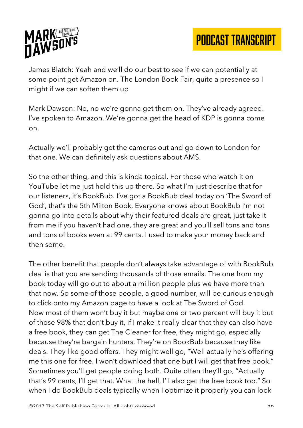

James Blatch: Yeah and we'll do our best to see if we can potentially at some point get Amazon on. The London Book Fair, quite a presence so I might if we can soften them up

Mark Dawson: No, no we're gonna get them on. They've already agreed. I've spoken to Amazon. We're gonna get the head of KDP is gonna come on.

Actually we'll probably get the cameras out and go down to London for that one. We can definitely ask questions about AMS.

So the other thing, and this is kinda topical. For those who watch it on YouTube let me just hold this up there. So what I'm just describe that for our listeners, it's BookBub. I've got a BookBub deal today on 'The Sword of God', that's the 5th Milton Book. Everyone knows about BookBub I'm not gonna go into details about why their featured deals are great, just take it from me if you haven't had one, they are great and you'll sell tons and tons and tons of books even at 99 cents. I used to make your money back and then some.

The other benefit that people don't always take advantage of with BookBub deal is that you are sending thousands of those emails. The one from my book today will go out to about a million people plus we have more than that now. So some of those people, a good number, will be curious enough to click onto my Amazon page to have a look at The Sword of God. Now most of them won't buy it but maybe one or two percent will buy it but of those 98% that don't buy it, if I make it really clear that they can also have a free book, they can get The Cleaner for free, they might go, especially because they're bargain hunters. They're on BookBub because they like deals. They like good offers. They might well go, "Well actually he's offering me this one for free. I won't download that one but I will get that free book." Sometimes you'll get people doing both. Quite often they'll go, "Actually that's 99 cents, I'll get that. What the hell, I'll also get the free book too." So when I do BookBub deals typically when I optimize it properly you can look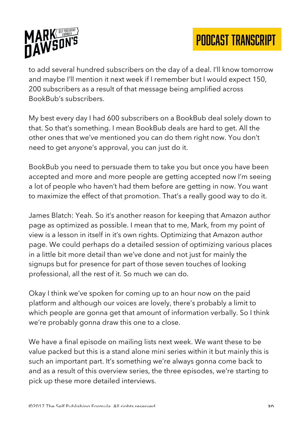

to add several hundred subscribers on the day of a deal. I'll know tomorrow and maybe I'll mention it next week if I remember but I would expect 150, 200 subscribers as a result of that message being amplified across BookBub's subscribers.

My best every day I had 600 subscribers on a BookBub deal solely down to that. So that's something. I mean BookBub deals are hard to get. All the other ones that we've mentioned you can do them right now. You don't need to get anyone's approval, you can just do it.

BookBub you need to persuade them to take you but once you have been accepted and more and more people are getting accepted now I'm seeing a lot of people who haven't had them before are getting in now. You want to maximize the effect of that promotion. That's a really good way to do it.

James Blatch: Yeah. So it's another reason for keeping that Amazon author page as optimized as possible. I mean that to me, Mark, from my point of view is a lesson in itself in it's own rights. Optimizing that Amazon author page. We could perhaps do a detailed session of optimizing various places in a little bit more detail than we've done and not just for mainly the signups but for presence for part of those seven touches of looking professional, all the rest of it. So much we can do.

Okay I think we've spoken for coming up to an hour now on the paid platform and although our voices are lovely, there's probably a limit to which people are gonna get that amount of information verbally. So I think we're probably gonna draw this one to a close.

We have a final episode on mailing lists next week. We want these to be value packed but this is a stand alone mini series within it but mainly this is such an important part. It's something we're always gonna come back to and as a result of this overview series, the three episodes, we're starting to pick up these more detailed interviews.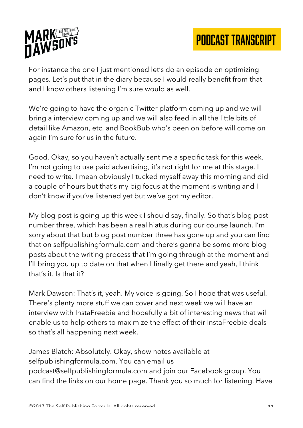



For instance the one I just mentioned let's do an episode on optimizing pages. Let's put that in the diary because I would really benefit from that and I know others listening I'm sure would as well.

We're going to have the organic Twitter platform coming up and we will bring a interview coming up and we will also feed in all the little bits of detail like Amazon, etc. and BookBub who's been on before will come on again I'm sure for us in the future.

Good. Okay, so you haven't actually sent me a specific task for this week. I'm not going to use paid advertising, it's not right for me at this stage. I need to write. I mean obviously I tucked myself away this morning and did a couple of hours but that's my big focus at the moment is writing and I don't know if you've listened yet but we've got my editor.

My blog post is going up this week I should say, finally. So that's blog post number three, which has been a real hiatus during our course launch. I'm sorry about that but blog post number three has gone up and you can find that on selfpublishingformula.com and there's gonna be some more blog posts about the writing process that I'm going through at the moment and I'll bring you up to date on that when I finally get there and yeah, I think that's it. Is that it?

Mark Dawson: That's it, yeah. My voice is going. So I hope that was useful. There's plenty more stuff we can cover and next week we will have an interview with InstaFreebie and hopefully a bit of interesting news that will enable us to help others to maximize the effect of their InstaFreebie deals so that's all happening next week.

James Blatch: Absolutely. Okay, show notes available at selfpublishingformula.com. You can email us podcast@selfpublishingformula.com and join our Facebook group. You can find the links on our home page. Thank you so much for listening. Have